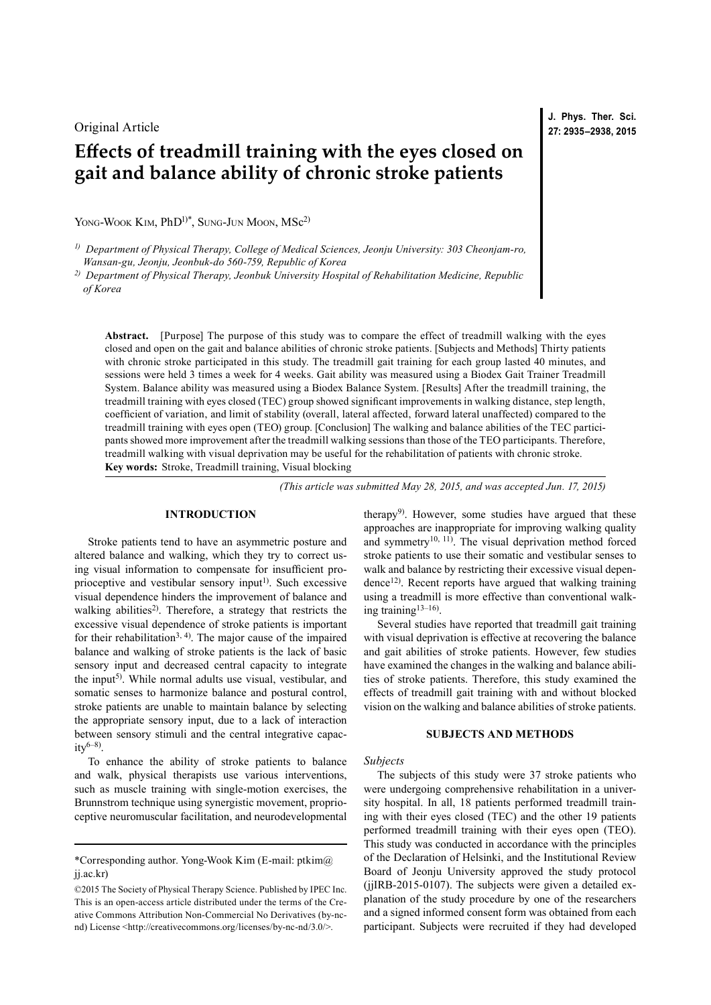## Original Article

# **Effects of treadmill training with the eyes closed on gait and balance ability of chronic stroke patients**

YONG-WOOK KIM, PhD<sup>1)\*</sup>, SUNG-JUN MOON, MSc<sup>2)</sup>

*1) Department of Physical Therapy, College of Medical Sciences, Jeonju University: 303 Cheonjam-ro, Wansan-gu, Jeonju, Jeonbuk-do 560-759, Republic of Korea*

*2) Department of Physical Therapy, Jeonbuk University Hospital of Rehabilitation Medicine, Republic of Korea*

**Abstract.** [Purpose] The purpose of this study was to compare the effect of treadmill walking with the eyes closed and open on the gait and balance abilities of chronic stroke patients. [Subjects and Methods] Thirty patients with chronic stroke participated in this study. The treadmill gait training for each group lasted 40 minutes, and sessions were held 3 times a week for 4 weeks. Gait ability was measured using a Biodex Gait Trainer Treadmill System. Balance ability was measured using a Biodex Balance System. [Results] After the treadmill training, the treadmill training with eyes closed (TEC) group showed significant improvements in walking distance, step length, coefficient of variation, and limit of stability (overall, lateral affected, forward lateral unaffected) compared to the treadmill training with eyes open (TEO) group. [Conclusion] The walking and balance abilities of the TEC participants showed more improvement after the treadmill walking sessions than those of the TEO participants. Therefore, treadmill walking with visual deprivation may be useful for the rehabilitation of patients with chronic stroke. **Key words:** Stroke, Treadmill training, Visual blocking

*(This article was submitted May 28, 2015, and was accepted Jun. 17, 2015)*

## **INTRODUCTION**

Stroke patients tend to have an asymmetric posture and altered balance and walking, which they try to correct using visual information to compensate for insufficient pro-prioceptive and vestibular sensory input<sup>[1](#page-3-0))</sup>. Such excessive visual dependence hinders the improvement of balance and walking abilities<sup>2)</sup>. Therefore, a strategy that restricts the excessive visual dependence of stroke patients is important for their rehabilitation<sup>3, 4)</sup>. The major cause of the impaired balance and walking of stroke patients is the lack of basic sensory input and decreased central capacity to integrate the input<sup>[5](#page-3-3))</sup>. While normal adults use visual, vestibular, and somatic senses to harmonize balance and postural control, stroke patients are unable to maintain balance by selecting the appropriate sensory input, due to a lack of interaction between sensory stimuli and the central integrative capac $ity^{6-8}$ .

To enhance the ability of stroke patients to balance and walk, physical therapists use various interventions, such as muscle training with single-motion exercises, the Brunnstrom technique using synergistic movement, proprioceptive neuromuscular facilitation, and neurodevelopmental

therapy<sup>9)</sup>. However, some studies have argued that these approaches are inappropriate for improving walking quality and symmetry<sup>10, 11</sup>). The visual deprivation method forced stroke patients to use their somatic and vestibular senses to walk and balance by restricting their excessive visual depen-dence<sup>[12\)](#page-3-7)</sup>. Recent reports have argued that walking training using a treadmill is more effective than conventional walking training[13–16](#page-3-8)) .

Several studies have reported that treadmill gait training with visual deprivation is effective at recovering the balance and gait abilities of stroke patients. However, few studies have examined the changes in the walking and balance abilities of stroke patients. Therefore, this study examined the effects of treadmill gait training with and without blocked vision on the walking and balance abilities of stroke patients.

#### **SUBJECTS AND METHODS**

### *Subjects*

The subjects of this study were 37 stroke patients who were undergoing comprehensive rehabilitation in a university hospital. In all, 18 patients performed treadmill training with their eyes closed (TEC) and the other 19 patients performed treadmill training with their eyes open (TEO). This study was conducted in accordance with the principles of the Declaration of Helsinki, and the Institutional Review Board of Jeonju University approved the study protocol (jjIRB-2015-0107). The subjects were given a detailed explanation of the study procedure by one of the researchers and a signed informed consent form was obtained from each participant. Subjects were recruited if they had developed

**J. Phys. Ther. Sci. 27: 2935–2938, 2015**

<sup>\*</sup>Corresponding author. Yong-Wook Kim (E-mail: ptkim@ jj.ac.kr)

<sup>©2015</sup> The Society of Physical Therapy Science. Published by IPEC Inc. This is an open-access article distributed under the terms of the Creative Commons Attribution Non-Commercial No Derivatives (by-ncnd) License [<http://creativecommons.org/licenses/by-nc-nd/3.0/>](http://creativecommons.org/licenses/by-nc-nd/3.0/).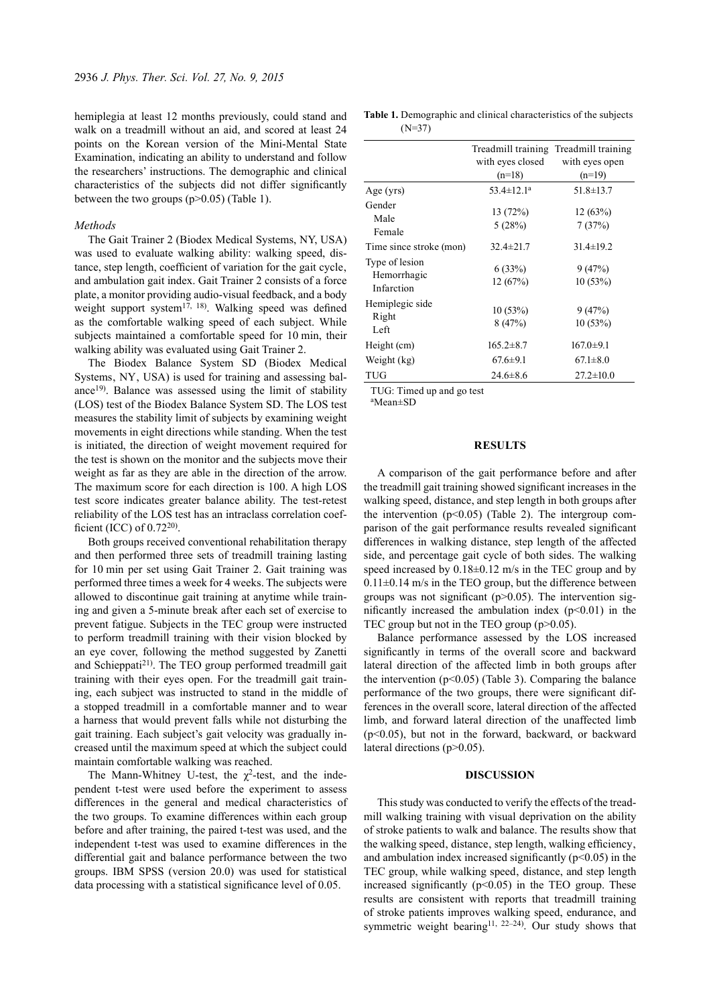hemiplegia at least 12 months previously, could stand and walk on a treadmill without an aid, and scored at least 24 points on the Korean version of the Mini-Mental State Examination, indicating an ability to understand and follow the researchers' instructions. The demographic and clinical characteristics of the subjects did not differ significantly between the two groups (p>0.05) (Table 1).

#### *Methods*

The Gait Trainer 2 (Biodex Medical Systems, NY, USA) was used to evaluate walking ability: walking speed, distance, step length, coefficient of variation for the gait cycle, and ambulation gait index. Gait Trainer 2 consists of a force plate, a monitor providing audio-visual feedback, and a body weight support system $17, 18$ ). Walking speed was defined as the comfortable walking speed of each subject. While subjects maintained a comfortable speed for 10 min, their walking ability was evaluated using Gait Trainer 2.

The Biodex Balance System SD (Biodex Medical Systems, NY, USA) is used for training and assessing bal-ance<sup>[19](#page-3-10))</sup>. Balance was assessed using the limit of stability (LOS) test of the Biodex Balance System SD. The LOS test measures the stability limit of subjects by examining weight movements in eight directions while standing. When the test is initiated, the direction of weight movement required for the test is shown on the monitor and the subjects move their weight as far as they are able in the direction of the arrow. The maximum score for each direction is 100. A high LOS test score indicates greater balance ability. The test-retest reliability of the LOS test has an intraclass correlation coefficient (ICC) of  $0.72^{20}$ .

Both groups received conventional rehabilitation therapy and then performed three sets of treadmill training lasting for 10 min per set using Gait Trainer 2. Gait training was performed three times a week for 4 weeks. The subjects were allowed to discontinue gait training at anytime while training and given a 5-minute break after each set of exercise to prevent fatigue. Subjects in the TEC group were instructed to perform treadmill training with their vision blocked by an eye cover, following the method suggested by Zanetti and Schieppati<sup>21)</sup>. The TEO group performed treadmill gait training with their eyes open. For the treadmill gait training, each subject was instructed to stand in the middle of a stopped treadmill in a comfortable manner and to wear a harness that would prevent falls while not disturbing the gait training. Each subject's gait velocity was gradually increased until the maximum speed at which the subject could maintain comfortable walking was reached.

The Mann-Whitney U-test, the  $\chi^2$ -test, and the independent t-test were used before the experiment to assess differences in the general and medical characteristics of the two groups. To examine differences within each group before and after training, the paired t-test was used, and the independent t-test was used to examine differences in the differential gait and balance performance between the two groups. IBM SPSS (version 20.0) was used for statistical data processing with a statistical significance level of 0.05.

**Table 1.** Demographic and clinical characteristics of the subjects (N=37)

|                                             | with eyes closed<br>$(n=18)$ | Treadmill training Treadmill training<br>with eyes open<br>$(n=19)$ |
|---------------------------------------------|------------------------------|---------------------------------------------------------------------|
| Age (yrs)                                   | $53.4 \pm 12.1^a$            | $51.8 \pm 13.7$                                                     |
| Gender<br>Male<br>Female                    | 13(72%)<br>5(28%)            | 12(63%)<br>7(37%)                                                   |
| Time since stroke (mon)                     | $32.4 \pm 21.7$              | $31.4 \pm 19.2$                                                     |
| Type of lesion<br>Hemorrhagic<br>Infarction | 6(33%)<br>12(67%)            | 9(47%)<br>10(53%)                                                   |
| Hemiplegic side<br>Right<br>Left            | 10(53%)<br>8(47%)            | 9(47%)<br>10(53%)                                                   |
| Height (cm)                                 | $165.2 \pm 8.7$              | $167.0 \pm 9.1$                                                     |
| Weight (kg)                                 | $67.6 \pm 9.1$               | $67.1 \pm 8.0$                                                      |
| TUG                                         | $24.6 \pm 8.6$               | $27.2 \pm 10.0$                                                     |
|                                             |                              |                                                                     |

TUG: Timed up and go test

aMean±SD

#### **RESULTS**

A comparison of the gait performance before and after the treadmill gait training showed significant increases in the walking speed, distance, and step length in both groups after the intervention  $(p<0.05)$  (Table 2). The intergroup comparison of the gait performance results revealed significant differences in walking distance, step length of the affected side, and percentage gait cycle of both sides. The walking speed increased by  $0.18\pm0.12$  m/s in the TEC group and by  $0.11\pm0.14$  m/s in the TEO group, but the difference between groups was not significant ( $p > 0.05$ ). The intervention significantly increased the ambulation index  $(p<0.01)$  in the TEC group but not in the TEO group (p>0.05).

Balance performance assessed by the LOS increased significantly in terms of the overall score and backward lateral direction of the affected limb in both groups after the intervention  $(p<0.05)$  (Table 3). Comparing the balance performance of the two groups, there were significant differences in the overall score, lateral direction of the affected limb, and forward lateral direction of the unaffected limb (p<0.05), but not in the forward, backward, or backward lateral directions (p>0.05).

## **DISCUSSION**

This study was conducted to verify the effects of the treadmill walking training with visual deprivation on the ability of stroke patients to walk and balance. The results show that the walking speed, distance, step length, walking efficiency. and ambulation index increased significantly  $(p<0.05)$  in the TEC group, while walking speed, distance, and step length increased significantly  $(p<0.05)$  in the TEO group. These results are consistent with reports that treadmill training of stroke patients improves walking speed, endurance, and symmetric weight bearing<sup>[11, 22–24](#page-3-13)</sup>). Our study shows that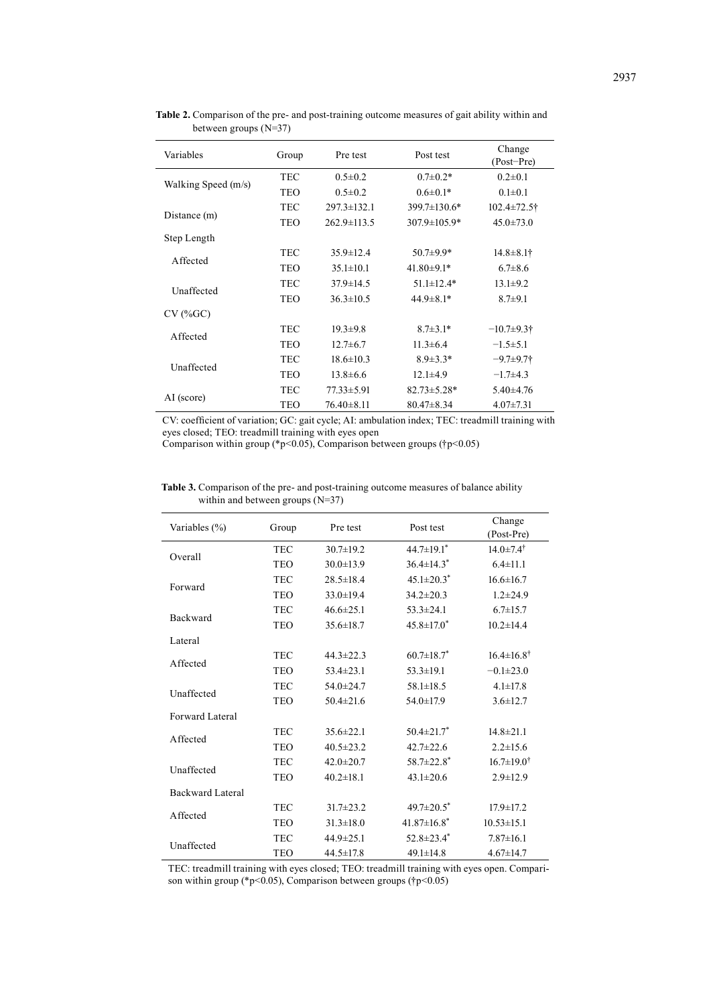| Variables           | Group      | Pre test          | Post test         | Change<br>(Post-Pre) |
|---------------------|------------|-------------------|-------------------|----------------------|
| Walking Speed (m/s) | <b>TEC</b> | $0.5 \pm 0.2$     | $0.7 \pm 0.2*$    | $0.2 \pm 0.1$        |
|                     | <b>TEO</b> | $0.5 \pm 0.2$     | $0.6 \pm 0.1*$    | $0.1 \pm 0.1$        |
|                     | <b>TEC</b> | $297.3 \pm 132.1$ | 399.7±130.6*      | $102.4 \pm 72.5$ †   |
| Distance (m)        | TEO        | $262.9 \pm 113.5$ | 307.9±105.9*      | $45.0 \pm 73.0$      |
| Step Length         |            |                   |                   |                      |
| Affected            | <b>TEC</b> | $35.9 \pm 12.4$   | $50.7 \pm 9.9*$   | $14.8 \pm 8.1$ †     |
|                     | <b>TEO</b> | $35.1 \pm 10.1$   | $41.80 \pm 9.1*$  | $6.7 \pm 8.6$        |
| Unaffected          | <b>TEC</b> | $37.9 \pm 14.5$   | $51.1 \pm 12.4*$  | $13.1 \pm 9.2$       |
|                     | <b>TEO</b> | $36.3 \pm 10.5$   | $44.9 \pm 8.1*$   | $8.7 + 9.1$          |
| $CV$ (% $GC$ )      |            |                   |                   |                      |
| Affected            | <b>TEC</b> | $19.3 \pm 9.8$    | $8.7 \pm 3.1*$    | $-10.7+9.3$ †        |
|                     | <b>TEO</b> | $12.7 \pm 6.7$    | $11.3 \pm 6.4$    | $-1.5 \pm 5.1$       |
| Unaffected          | <b>TEC</b> | $18.6 \pm 10.3$   | $8.9 \pm 3.3*$    | $-9.7+9.7$ †         |
|                     | <b>TEO</b> | $13.8 \pm 6.6$    | $12.1 \pm 4.9$    | $-1.7+4.3$           |
|                     | TEC        | $77.33 \pm 5.91$  | $82.73 \pm 5.28*$ | $5.40\pm4.76$        |
| AI (score)          | <b>TEO</b> | $76.40 \pm 8.11$  | $80.47 \pm 8.34$  | $4.07 \pm 7.31$      |

**Table 2.** Comparison of the pre- and post-training outcome measures of gait ability within and between groups (N=37)

CV: coefficient of variation; GC: gait cycle; AI: ambulation index; TEC: treadmill training with eyes closed; TEO: treadmill training with eyes open

Comparison within group (\*p<0.05), Comparison between groups (†p<0.05)

|                                    |  | <b>Table 3.</b> Comparison of the pre- and post-training outcome measures of balance ability |
|------------------------------------|--|----------------------------------------------------------------------------------------------|
| within and between groups $(N=37)$ |  |                                                                                              |

| Variables (%)           | Group      | Pre test        | Post test                     | Change<br>(Post-Pre)      |
|-------------------------|------------|-----------------|-------------------------------|---------------------------|
| Overall                 | <b>TEC</b> | $30.7 \pm 19.2$ | $44.7 \pm 19.1$ <sup>*</sup>  | $14.0 \pm 7.4^{\dagger}$  |
|                         | <b>TEO</b> | $30.0 \pm 13.9$ | $36.4 \pm 14.3^*$             | $6.4 \pm 11.1$            |
| Forward                 | <b>TEC</b> | $28.5 \pm 18.4$ | $45.1 \pm 20.3$ <sup>*</sup>  | $16.6 \pm 16.7$           |
|                         | <b>TEO</b> | $33.0 \pm 19.4$ | $34.2 \pm 20.3$               | $1.2 \pm 24.9$            |
| <b>Backward</b>         | <b>TEC</b> | $46.6 \pm 25.1$ | $53.3 \pm 24.1$               | $6.7 \pm 15.7$            |
|                         | <b>TEO</b> | $35.6 \pm 18.7$ | $45.8 \pm 17.0$ <sup>*</sup>  | $10.2 \pm 14.4$           |
| Lateral                 |            |                 |                               |                           |
| Affected                | <b>TEC</b> | $44.3 \pm 22.3$ | $60.7 \pm 18.7$ <sup>*</sup>  | $16.4 \pm 16.8$ †         |
|                         | <b>TEO</b> | $53.4 \pm 23.1$ | $53.3 \pm 19.1$               | $-0.1 \pm 23.0$           |
| Unaffected              | <b>TEC</b> | 54.0±24.7       | $58.1 \pm 18.5$               | $4.1 \pm 17.8$            |
|                         | <b>TEO</b> | $50.4 \pm 21.6$ | 54.0±17.9                     | $3.6 \pm 12.7$            |
| Forward Lateral         |            |                 |                               |                           |
| Affected                | <b>TEC</b> | $35.6 \pm 22.1$ | $50.4 \pm 21.7$ <sup>*</sup>  | $14.8 \pm 21.1$           |
|                         | <b>TEO</b> | $40.5 \pm 23.2$ | $42.7 \pm 22.6$               | $2.2 \pm 15.6$            |
| Unaffected              | <b>TEC</b> | $42.0 \pm 20.7$ | $58.7 \pm 22.8$ <sup>*</sup>  | $16.7 \pm 19.0^{\dagger}$ |
|                         | <b>TEO</b> | $40.2 \pm 18.1$ | $43.1 \pm 20.6$               | $2.9 \pm 12.9$            |
| <b>Backward Lateral</b> |            |                 |                               |                           |
| Affected                | <b>TEC</b> | $31.7 \pm 23.2$ | $49.7 \pm 20.5$ <sup>*</sup>  | $17.9 \pm 17.2$           |
|                         | <b>TEO</b> | $31.3 \pm 18.0$ | $41.87 \pm 16.8$ <sup>*</sup> | $10.53 \pm 15.1$          |
| Unaffected              | <b>TEC</b> | $44.9 \pm 25.1$ | 52.8 $\pm$ 23.4 $*$           | $7.87 \pm 16.1$           |
|                         | <b>TEO</b> | $44.5 \pm 17.8$ | $49.1 \pm 14.8$               | $4.67 \pm 14.7$           |

TEC: treadmill training with eyes closed; TEO: treadmill training with eyes open. Comparison within group (\*p<0.05), Comparison between groups (†p<0.05)